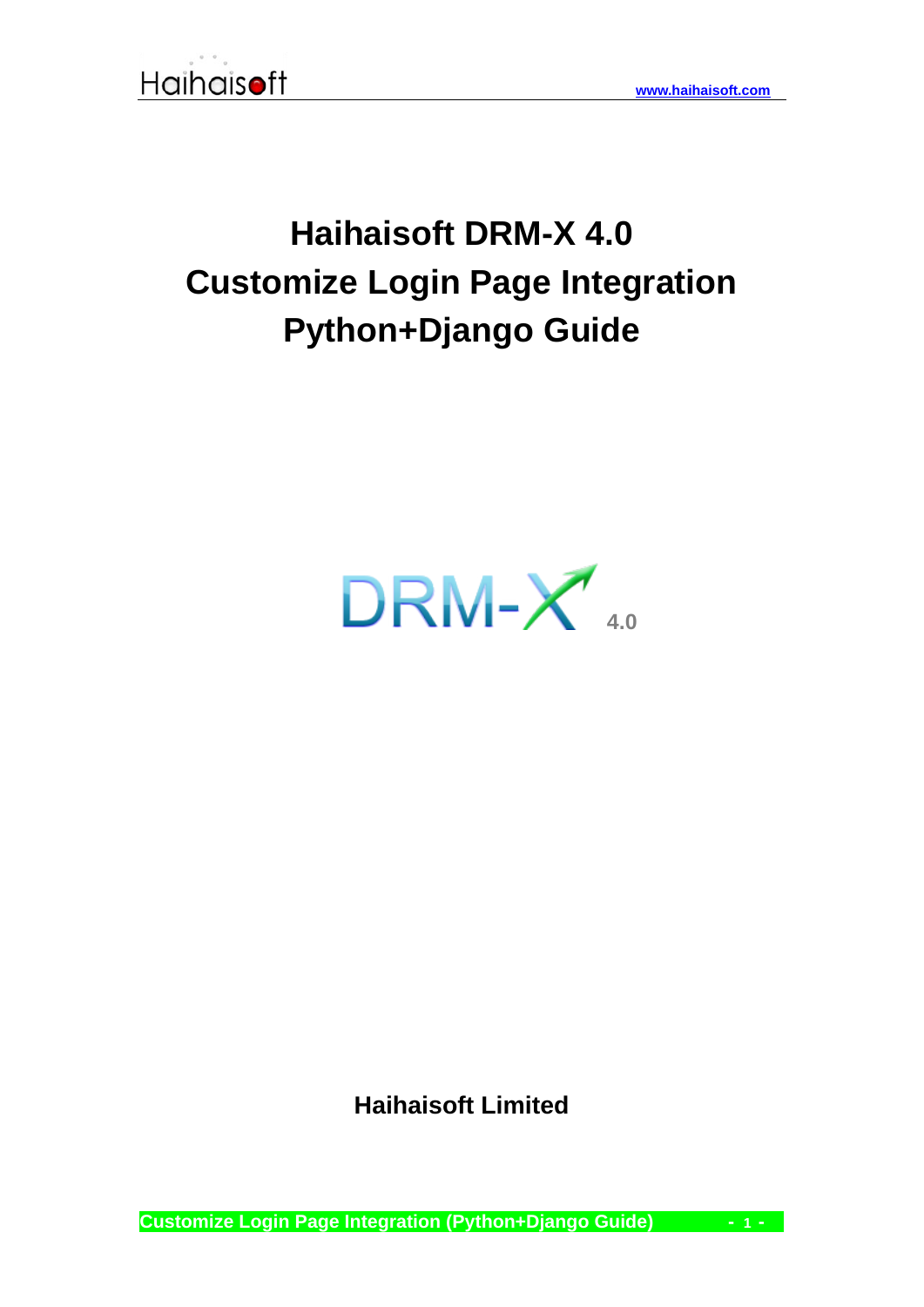# **Haihaisoft DRM-X 4.0 Customize Login Page Integration Python+Django Guide**



**Haihaisoft Limited**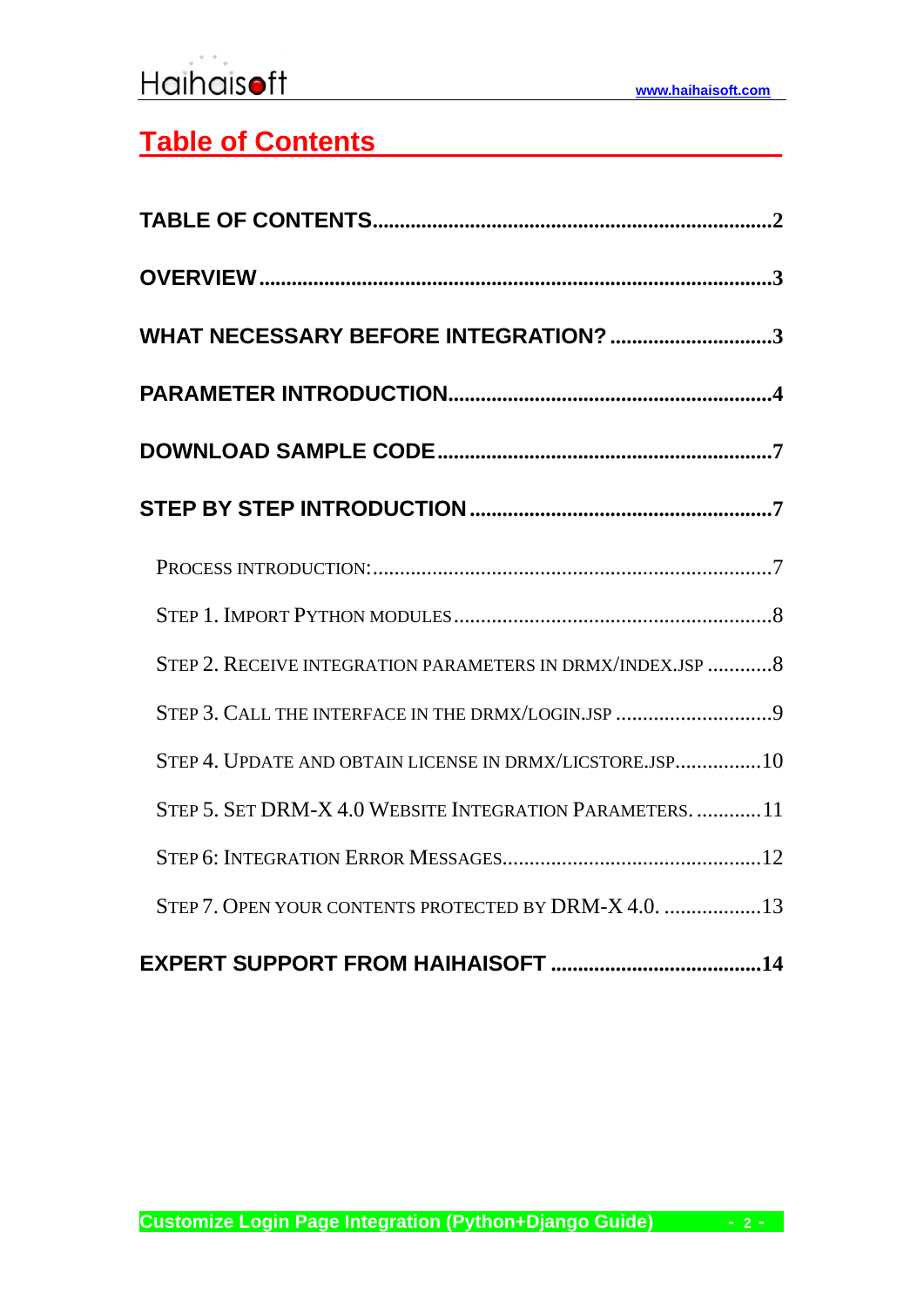## <span id="page-1-0"></span>**Table of Contents**

| WHAT NECESSARY BEFORE INTEGRATION? 3                        |
|-------------------------------------------------------------|
|                                                             |
|                                                             |
|                                                             |
|                                                             |
|                                                             |
| STEP 2. RECEIVE INTEGRATION PARAMETERS IN DRMX/INDEX.JSP  8 |
| STEP 3. CALL THE INTERFACE IN THE DRMX/LOGIN.JSP 9          |
| STEP 4. UPDATE AND OBTAIN LICENSE IN DRMX/LICSTORE.JSP10    |
| STEP 5. SET DRM-X 4.0 WEBSITE INTEGRATION PARAMETERS.  11   |
|                                                             |
| STEP 7. OPEN YOUR CONTENTS PROTECTED BY DRM-X 4.0.  13      |
|                                                             |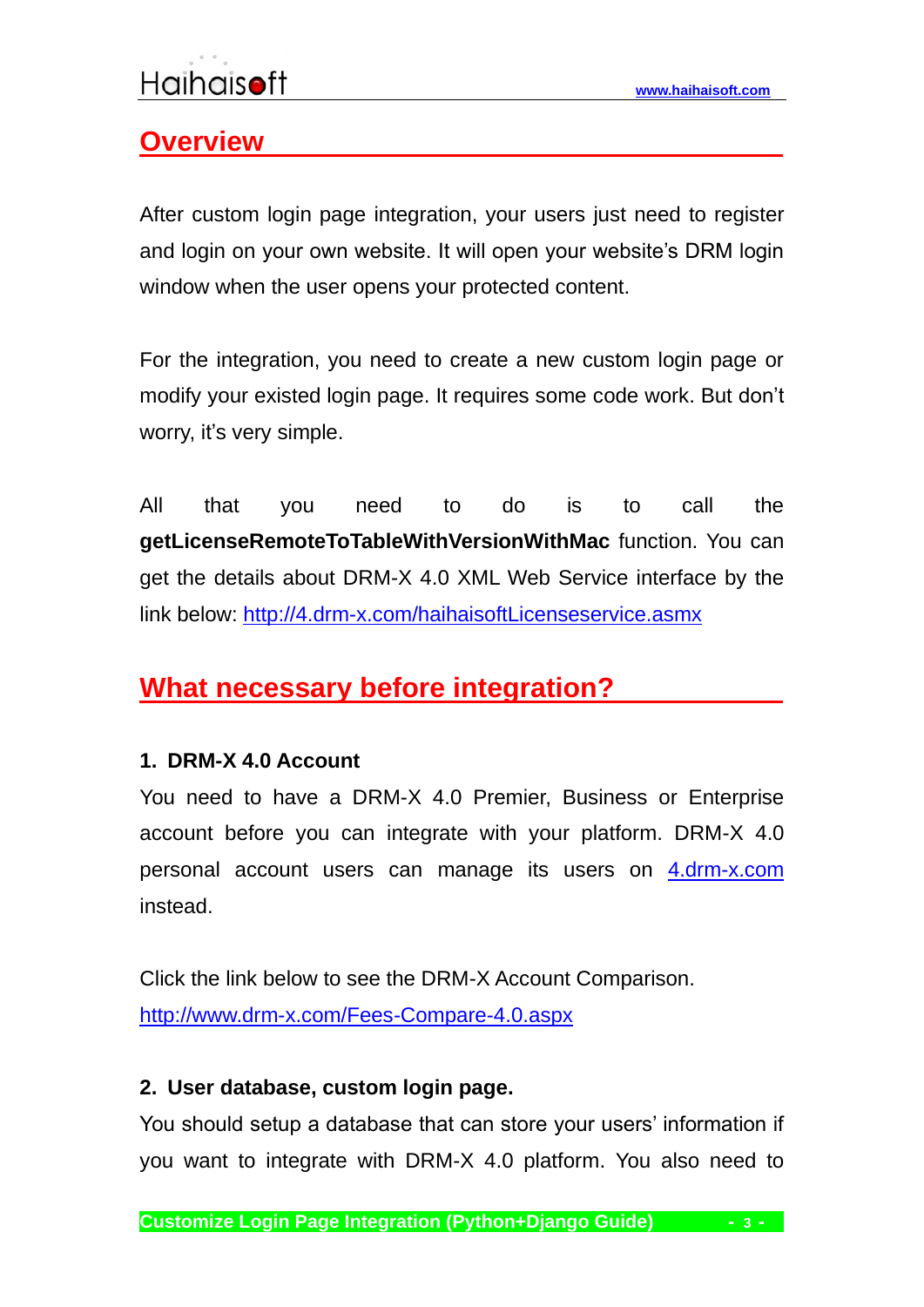## <span id="page-2-0"></span>**Overview**

After custom login page integration, your users just need to register and login on your own website. It will open your website's DRM login window when the user opens your protected content.

For the integration, you need to create a new custom login page or modify your existed login page. It requires some code work. But don't worry, it's very simple.

All that you need to do is to call the **getLicenseRemoteToTableWithVersionWithMac** function. You can get the details about DRM-X 4.0 XML Web Service interface by the link below:<http://4.drm-x.com/haihaisoftLicenseservice.asmx>

## <span id="page-2-1"></span>**What necessary before integration?**

#### **1. DRM-X 4.0 Account**

You need to have a DRM-X 4.0 Premier, Business or Enterprise account before you can integrate with your platform. DRM-X 4.0 personal account users can manage its users on [4.drm-x.com](http://4.drm-x.com/) instead.

Click the link below to see the DRM-X Account Comparison. <http://www.drm-x.com/Fees-Compare-4.0.aspx>

#### **2. User database, custom login page.**

You should setup a database that can store your users' information if you want to integrate with DRM-X 4.0 platform. You also need to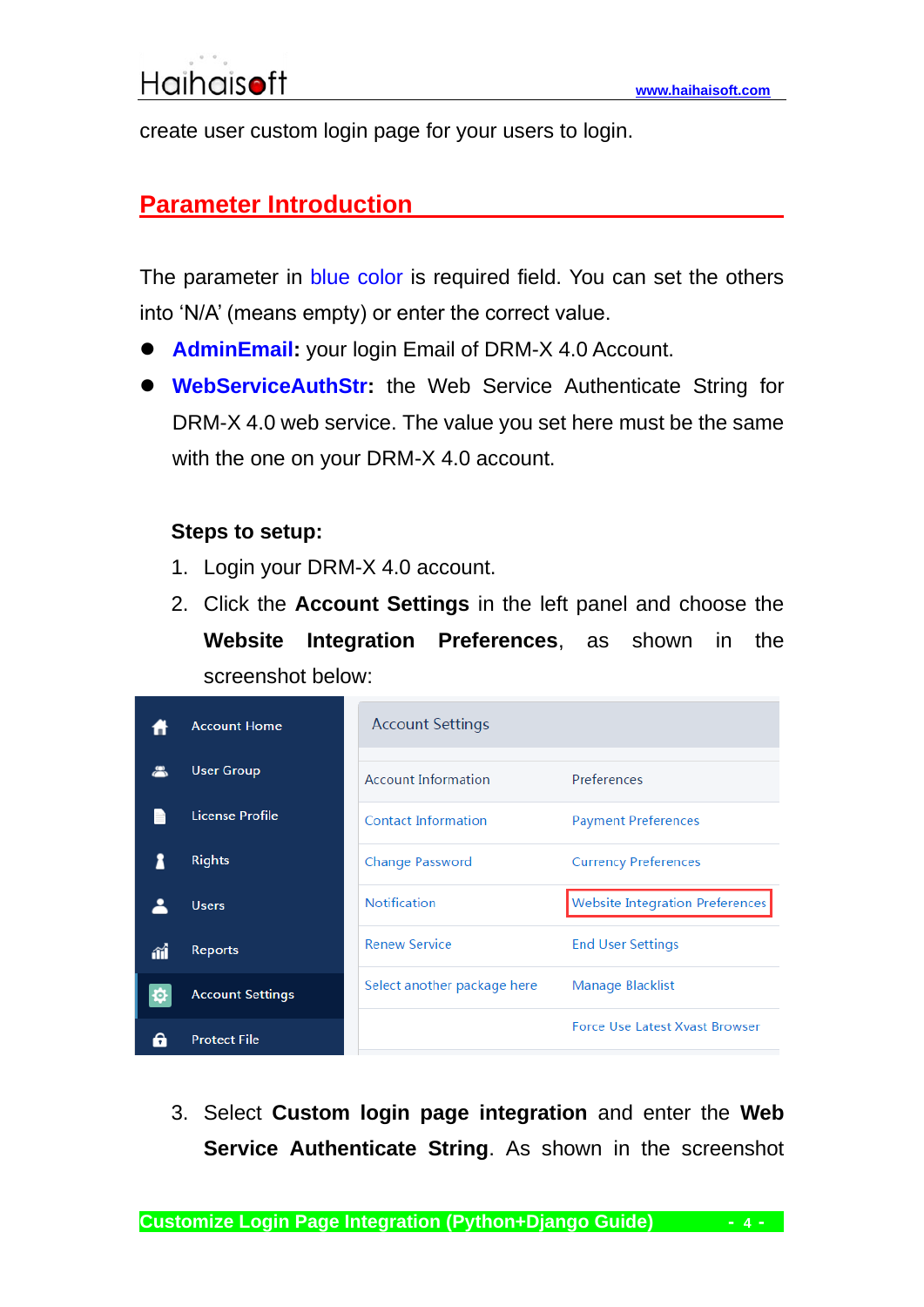<span id="page-3-0"></span>create user custom login page for your users to login.

#### **Parameter Introduction**

The parameter in blue color is required field. You can set the others into 'N/A' (means empty) or enter the correct value.

- **AdminEmail:** your login Email of DRM-X 4.0 Account.
- ⚫ **WebServiceAuthStr:** the Web Service Authenticate String for DRM-X 4.0 web service. The value you set here must be the same with the one on your DRM-X 4.0 account.

#### **Steps to setup:**

- 1. Login your DRM-X 4.0 account.
- 2. Click the **Account Settings** in the left panel and choose the **Website Integration Preferences**, as shown in the screenshot below:

|    | <b>Account Home</b>     | <b>Account Settings</b>     |                                       |
|----|-------------------------|-----------------------------|---------------------------------------|
|    | <b>User Group</b>       | <b>Account Information</b>  | Preferences                           |
|    | License Profile         | <b>Contact Information</b>  | <b>Payment Preferences</b>            |
|    | <b>Rights</b>           | <b>Change Password</b>      | <b>Currency Preferences</b>           |
|    | <b>Users</b>            | <b>Notification</b>         | Website Integration Preferences       |
| íí | <b>Reports</b>          | <b>Renew Service</b>        | <b>End User Settings</b>              |
| ю. | <b>Account Settings</b> | Select another package here | Manage Blacklist                      |
|    | <b>Protect File</b>     |                             | <b>Force Use Latest Xvast Browser</b> |

3. Select **Custom login page integration** and enter the **Web Service Authenticate String**. As shown in the screenshot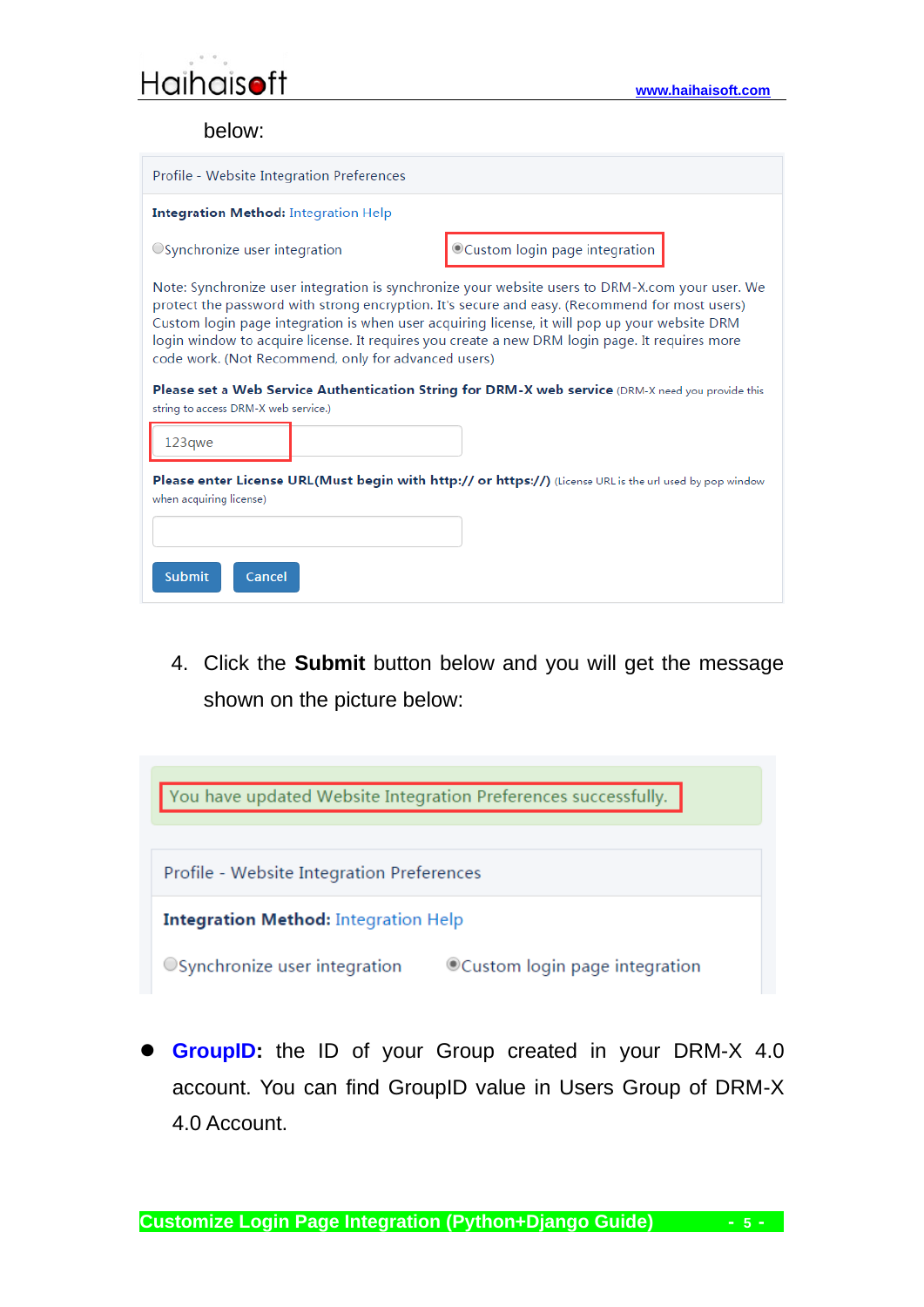

below:

| Profile - Website Integration Preferences                                                                                                                                                                                                                                                                                                                                                                                                                  |                               |  |  |
|------------------------------------------------------------------------------------------------------------------------------------------------------------------------------------------------------------------------------------------------------------------------------------------------------------------------------------------------------------------------------------------------------------------------------------------------------------|-------------------------------|--|--|
| <b>Integration Method: Integration Help</b>                                                                                                                                                                                                                                                                                                                                                                                                                |                               |  |  |
| ○ Synchronize user integration                                                                                                                                                                                                                                                                                                                                                                                                                             | Custom login page integration |  |  |
| Note: Synchronize user integration is synchronize your website users to DRM-X.com your user. We<br>protect the password with strong encryption. It's secure and easy. (Recommend for most users)<br>Custom login page integration is when user acquiring license, it will pop up your website DRM<br>login window to acquire license. It requires you create a new DRM login page. It requires more<br>code work. (Not Recommend, only for advanced users) |                               |  |  |
| Please set a Web Service Authentication String for DRM-X web service (DRM-X need you provide this<br>string to access DRM-X web service.)                                                                                                                                                                                                                                                                                                                  |                               |  |  |
| 123qwe                                                                                                                                                                                                                                                                                                                                                                                                                                                     |                               |  |  |
| <b>Please enter License URL(Must begin with http:// or https://)</b> (License URL is the url used by pop window<br>when acquiring license)                                                                                                                                                                                                                                                                                                                 |                               |  |  |
|                                                                                                                                                                                                                                                                                                                                                                                                                                                            |                               |  |  |
| <b>Submit</b><br>Cancel                                                                                                                                                                                                                                                                                                                                                                                                                                    |                               |  |  |

4. Click the **Submit** button below and you will get the message shown on the picture below:



**GroupID:** the ID of your Group created in your DRM-X 4.0 account. You can find GroupID value in Users Group of DRM-X 4.0 Account.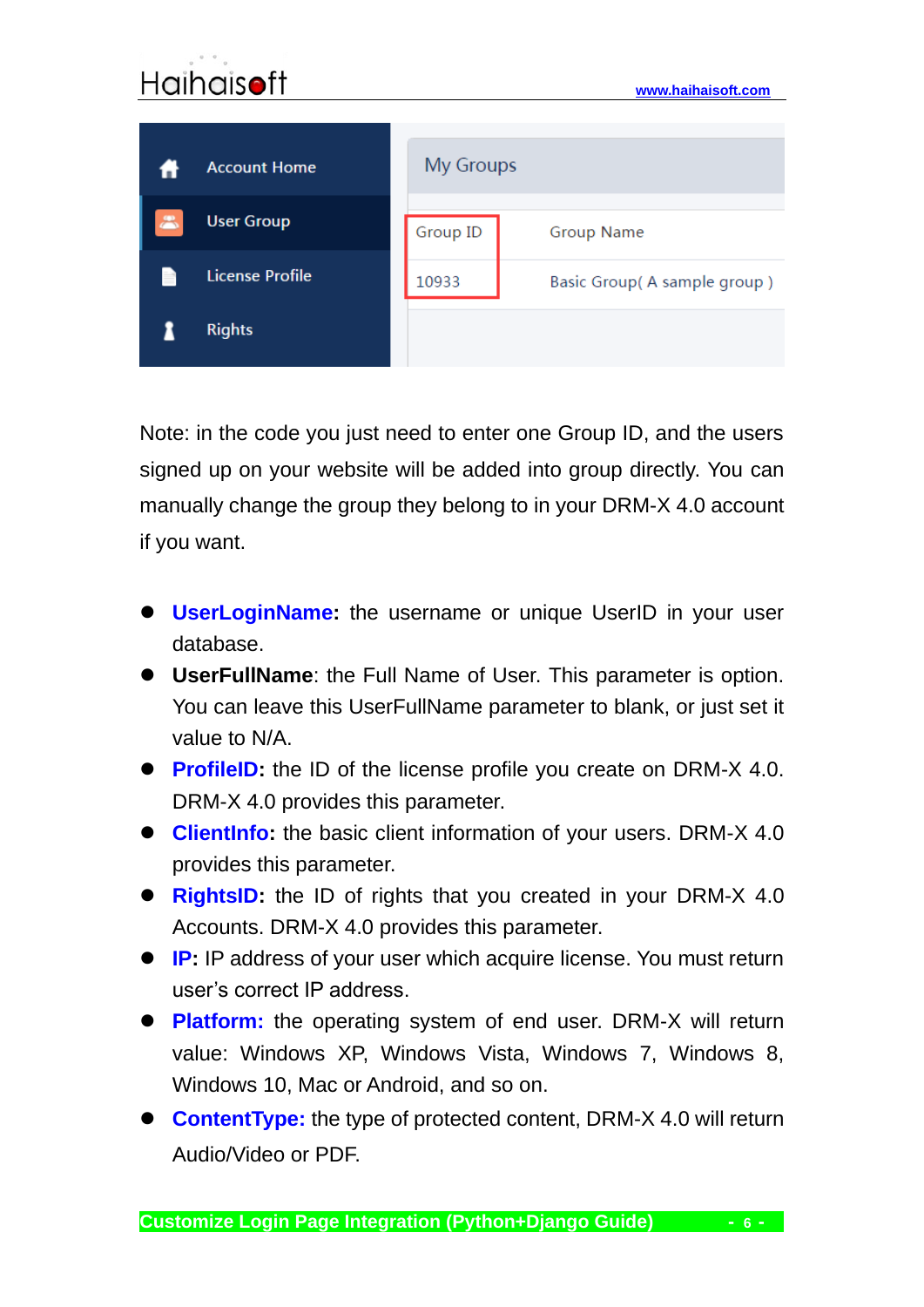

Note: in the code you just need to enter one Group ID, and the users signed up on your website will be added into group directly. You can manually change the group they belong to in your DRM-X 4.0 account if you want.

- ⚫ **UserLoginName:** the username or unique UserID in your user database.
- ⚫ **UserFullName**: the Full Name of User. This parameter is option. You can leave this UserFullName parameter to blank, or just set it value to N/A.
- **ProfileID:** the ID of the license profile you create on DRM-X 4.0. DRM-X 4.0 provides this parameter.
- ⚫ **ClientInfo:** the basic client information of your users. DRM-X 4.0 provides this parameter.
- **RightsID:** the ID of rights that you created in your DRM-X 4.0 Accounts. DRM-X 4.0 provides this parameter.
- **IP:** IP address of your user which acquire license. You must return user's correct IP address.
- ⚫ **Platform:** the operating system of end user. DRM-X will return value: Windows XP, Windows Vista, Windows 7, Windows 8, Windows 10, Mac or Android, and so on.
- ⚫ **ContentType:** the type of protected content, DRM-X 4.0 will return Audio/Video or PDF.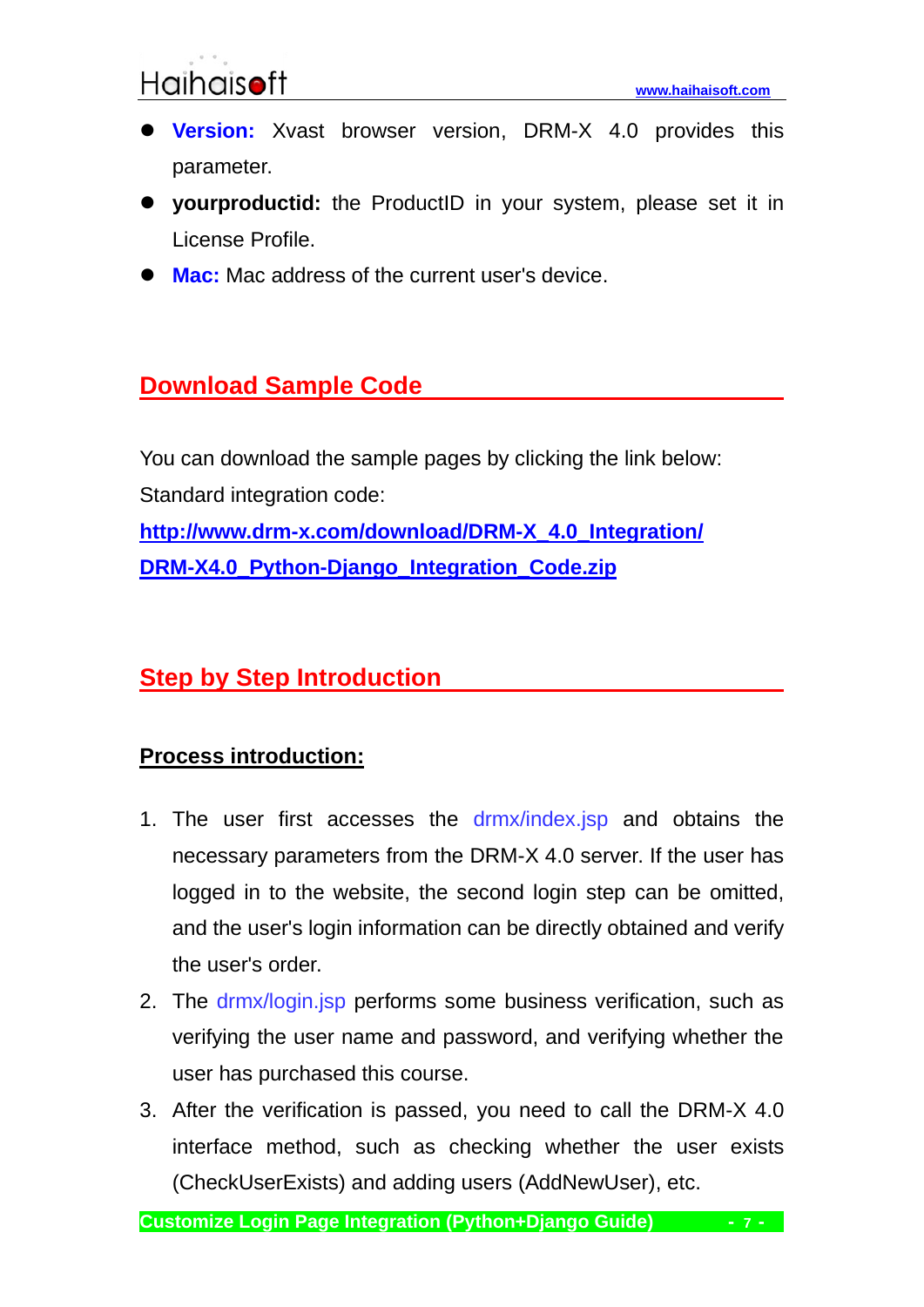- ⚫ **Version:** Xvast browser version, DRM-X 4.0 provides this parameter.
- ⚫ **yourproductid:** the ProductID in your system, please set it in License Profile.
- **Mac:** Mac address of the current user's device.

#### <span id="page-6-0"></span>**Download Sample Code**

You can download the sample pages by clicking the link below: Standard integration code: **[http://www.drm-x.com/download/DRM-X\\_4.0\\_Integration/](http://www.drm-x.com/download/DRM-X_4.0_Integration/DRM-X4.0_Python-Django_Integration_Code.zip)**

**[DRM-X4.0\\_Python-Django\\_Integration\\_Code.zip](http://www.drm-x.com/download/DRM-X_4.0_Integration/DRM-X4.0_Python-Django_Integration_Code.zip)**

#### <span id="page-6-1"></span>**Step by Step Introduction**

#### <span id="page-6-2"></span>**Process introduction:**

- 1. The user first accesses the drmx/index.jsp and obtains the necessary parameters from the DRM-X 4.0 server. If the user has logged in to the website, the second login step can be omitted, and the user's login information can be directly obtained and verify the user's order.
- 2. The drmx/login.jsp performs some business verification, such as verifying the user name and password, and verifying whether the user has purchased this course.
- 3. After the verification is passed, you need to call the DRM-X 4.0 interface method, such as checking whether the user exists (CheckUserExists) and adding users (AddNewUser), etc.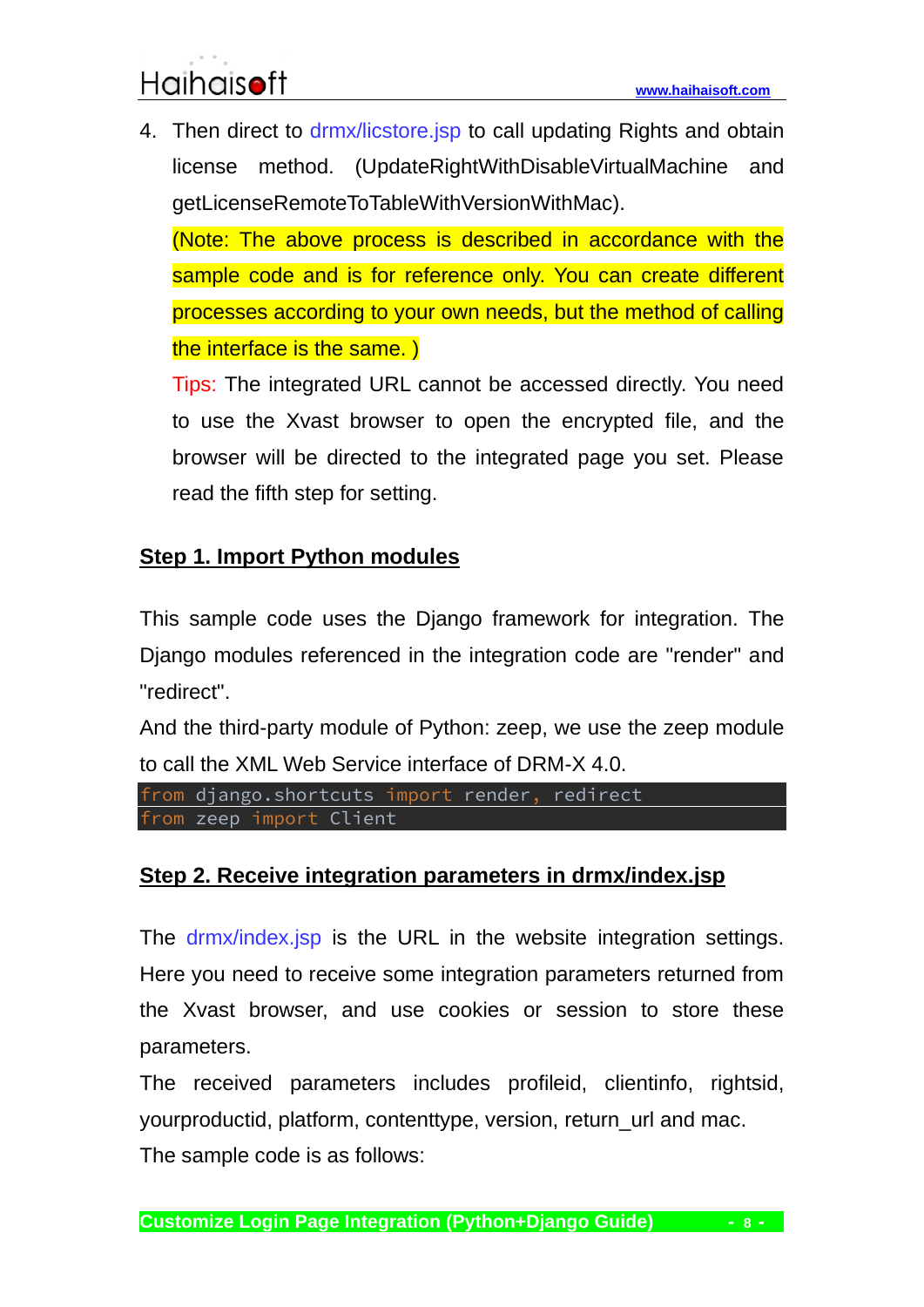4. Then direct to drmx/licstore.jsp to call updating Rights and obtain license method. (UpdateRightWithDisableVirtualMachine and getLicenseRemoteToTableWithVersionWithMac).

(Note: The above process is described in accordance with the sample code and is for reference only. You can create different processes according to your own needs, but the method of calling the interface is the same. )

Tips: The integrated URL cannot be accessed directly. You need to use the Xvast browser to open the encrypted file, and the browser will be directed to the integrated page you set. Please read the fifth step for setting.

#### <span id="page-7-0"></span>**Step 1. Import Python modules**

This sample code uses the Django framework for integration. The Django modules referenced in the integration code are "render" and "redirect".

And the third-party module of Python: zeep, we use the zeep module to call the XML Web Service interface of DRM-X 4.0.

```
from django.shortcuts import render, redirect
from zeep import Client
```
#### <span id="page-7-1"></span>**Step 2. Receive integration parameters in drmx/index.jsp**

The drmx/index.jsp is the URL in the website integration settings. Here you need to receive some integration parameters returned from the Xvast browser, and use cookies or session to store these parameters.

The received parameters includes profileid, clientinfo, rightsid, yourproductid, platform, contenttype, version, return\_url and mac. The sample code is as follows: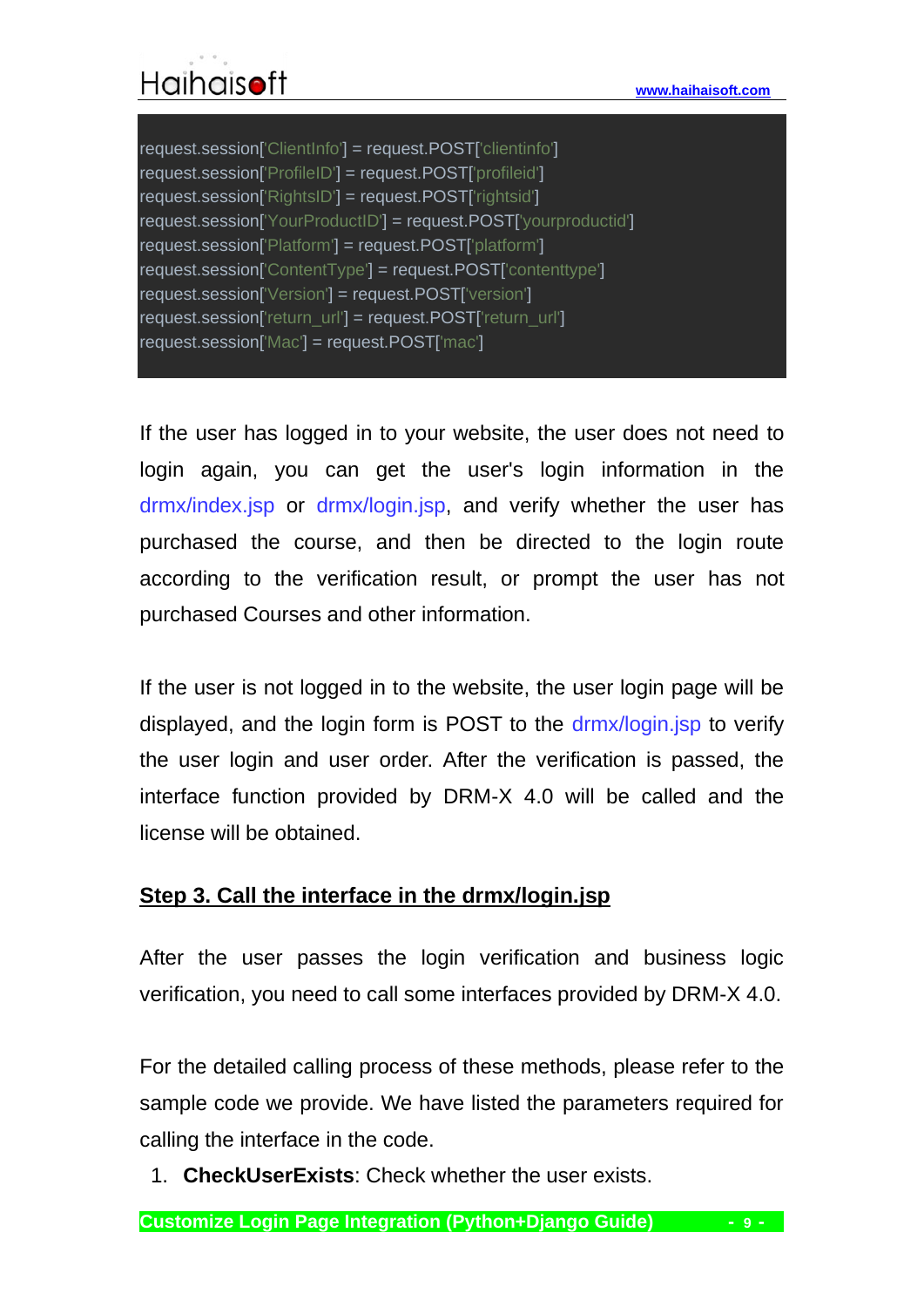If the user has logged in to your website, the user does not need to login again, you can get the user's login information in the drmx/index.jsp or drmx/login.jsp, and verify whether the user has purchased the course, and then be directed to the login route according to the verification result, or prompt the user has not purchased Courses and other information.

If the user is not logged in to the website, the user login page will be displayed, and the login form is POST to the drmx/login.jsp to verify the user login and user order. After the verification is passed, the interface function provided by DRM-X 4.0 will be called and the license will be obtained.

#### <span id="page-8-0"></span>**Step 3. Call the interface in the drmx/login.jsp**

After the user passes the login verification and business logic verification, you need to call some interfaces provided by DRM-X 4.0.

For the detailed calling process of these methods, please refer to the sample code we provide. We have listed the parameters required for calling the interface in the code.

1. **CheckUserExists**: Check whether the user exists.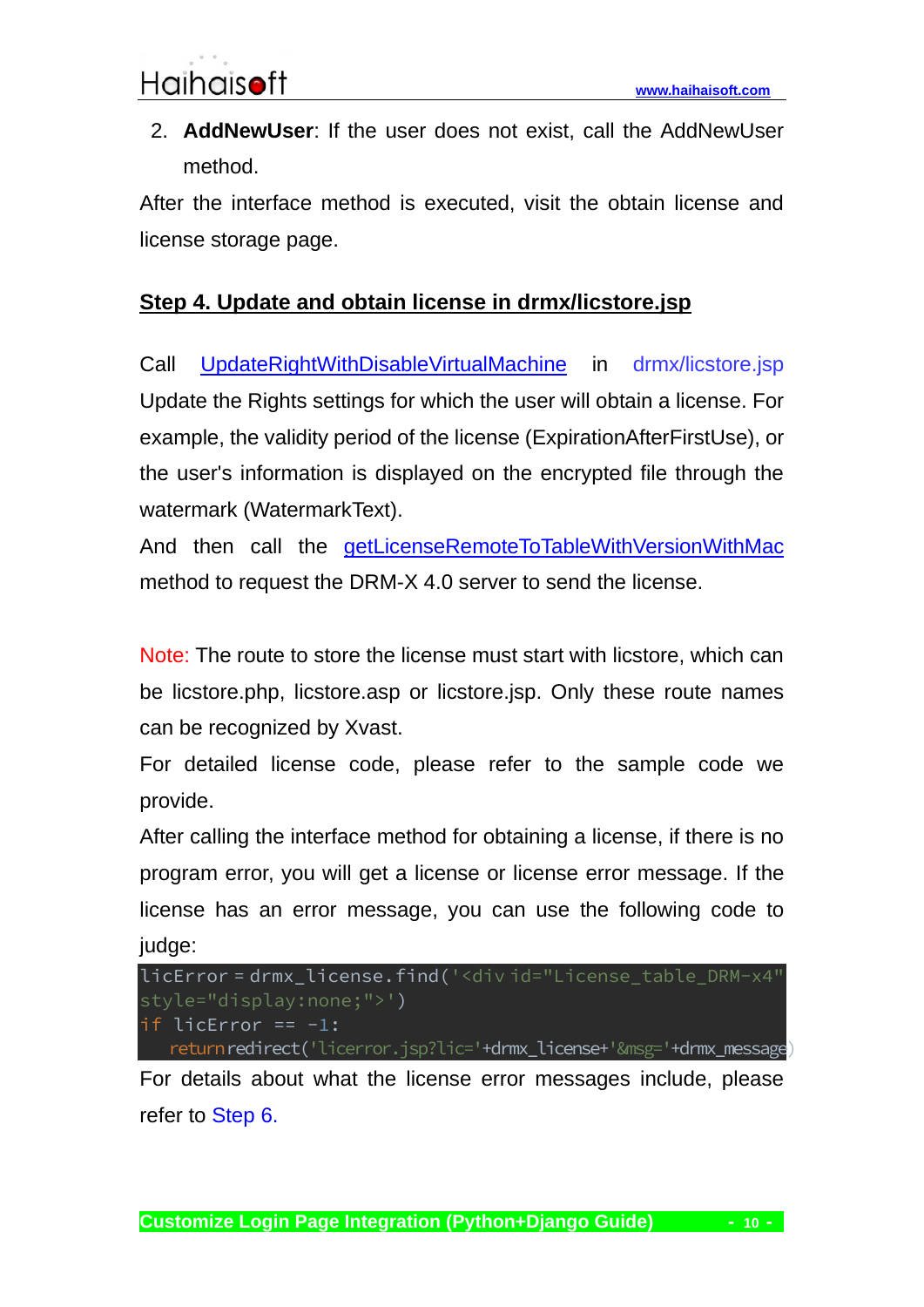2. **AddNewUser**: If the user does not exist, call the AddNewUser method.

After the interface method is executed, visit the obtain license and license storage page.

#### <span id="page-9-0"></span>**Step 4. Update and obtain license in drmx/licstore.jsp**

Call [UpdateRightWithDisableVirtualMachine](4.drm-x.com/haihaisoftlicenseservice.asmx?op=UpdateRightWithDisableVirtualMachine) in drmx/licstore.jsp Update the Rights settings for which the user will obtain a license. For example, the validity period of the license (ExpirationAfterFirstUse), or the user's information is displayed on the encrypted file through the watermark (WatermarkText).

And then call the [getLicenseRemoteToTableWithVersionWithMac](http://4.drm-x.com/haihaisoftlicenseservice.asmx?op=getLicenseRemoteToTableWithVersionWithMac) method to request the DRM-X 4.0 server to send the license.

Note: The route to store the license must start with licstore, which can be licstore.php, licstore.asp or licstore.jsp. Only these route names can be recognized by Xvast.

For detailed license code, please refer to the sample code we provide.

After calling the interface method for obtaining a license, if there is no program error, you will get a license or license error message. If the license has an error message, you can use the following code to judge:

licError = drmx\_license.find('<div id="License\_table\_DRM-x4" style="display:none;">') if licError == -1: return redirect('licerror.jsp?lic='+drmx\_license+'&msg='+drmx\_message)

For details about what the license error messages include, please refer to [Step 6.](#page-11-0)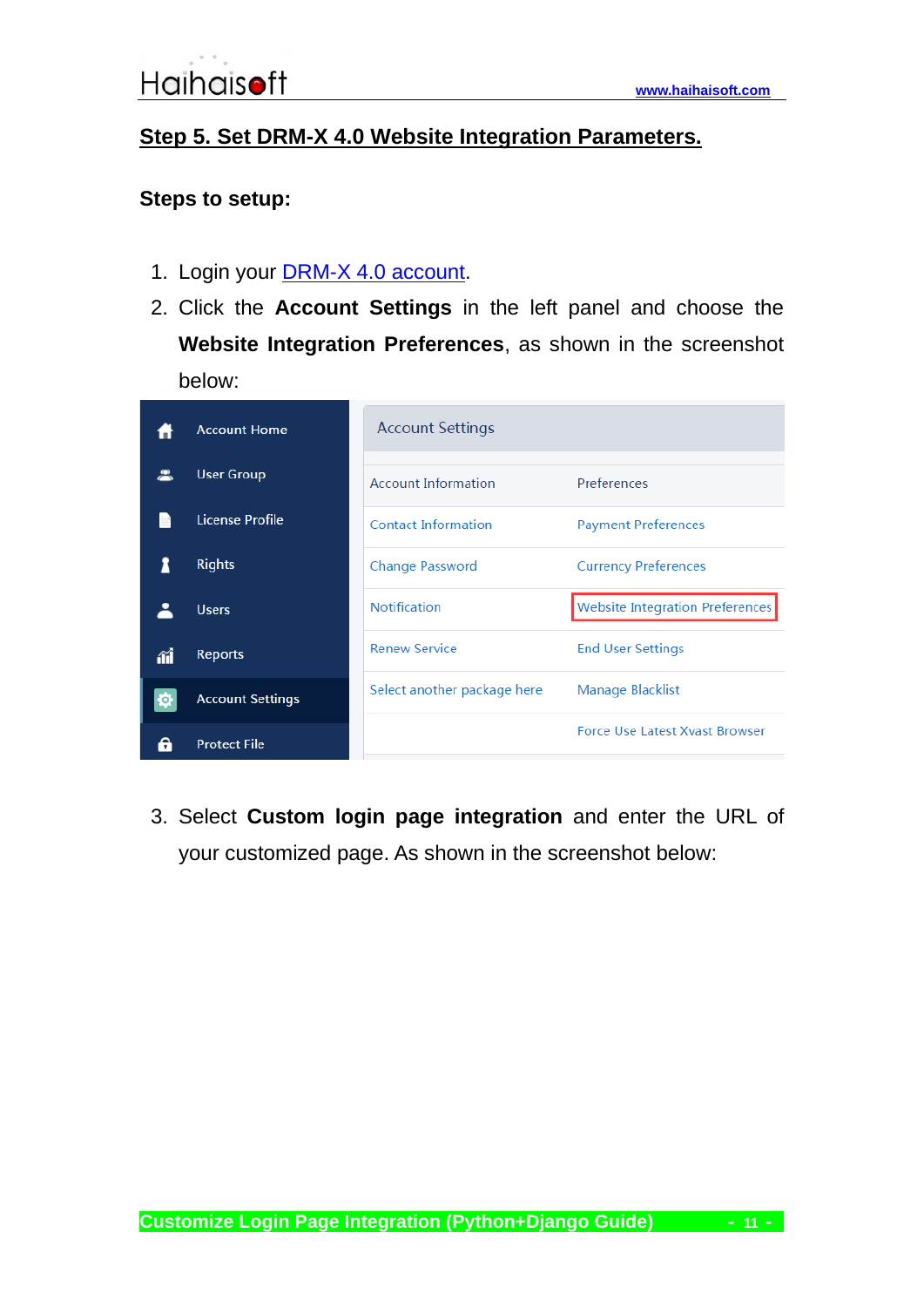#### <span id="page-10-0"></span>**Step 5. Set DRM-X 4.0 Website Integration Parameters.**

#### **Steps to setup:**

- 1. Login your **DRM-X 4.0 account**.
- 2. Click the **Account Settings** in the left panel and choose the **Website Integration Preferences**, as shown in the screenshot below:

|    | <b>Account Home</b>     | <b>Account Settings</b>     |                                        |
|----|-------------------------|-----------------------------|----------------------------------------|
|    |                         |                             |                                        |
|    | <b>User Group</b>       | <b>Account Information</b>  | Preferences                            |
|    | License Profile         | <b>Contact Information</b>  | <b>Payment Preferences</b>             |
|    | <b>Rights</b>           | <b>Change Password</b>      | <b>Currency Preferences</b>            |
|    | <b>Users</b>            | <b>Notification</b>         | <b>Website Integration Preferences</b> |
| îĺ | <b>Reports</b>          | <b>Renew Service</b>        | <b>End User Settings</b>               |
|    | <b>Account Settings</b> | Select another package here | Manage Blacklist                       |
|    |                         |                             |                                        |
|    | <b>Protect File</b>     |                             | <b>Force Use Latest Xvast Browser</b>  |

3. Select **Custom login page integration** and enter the URL of your customized page. As shown in the screenshot below: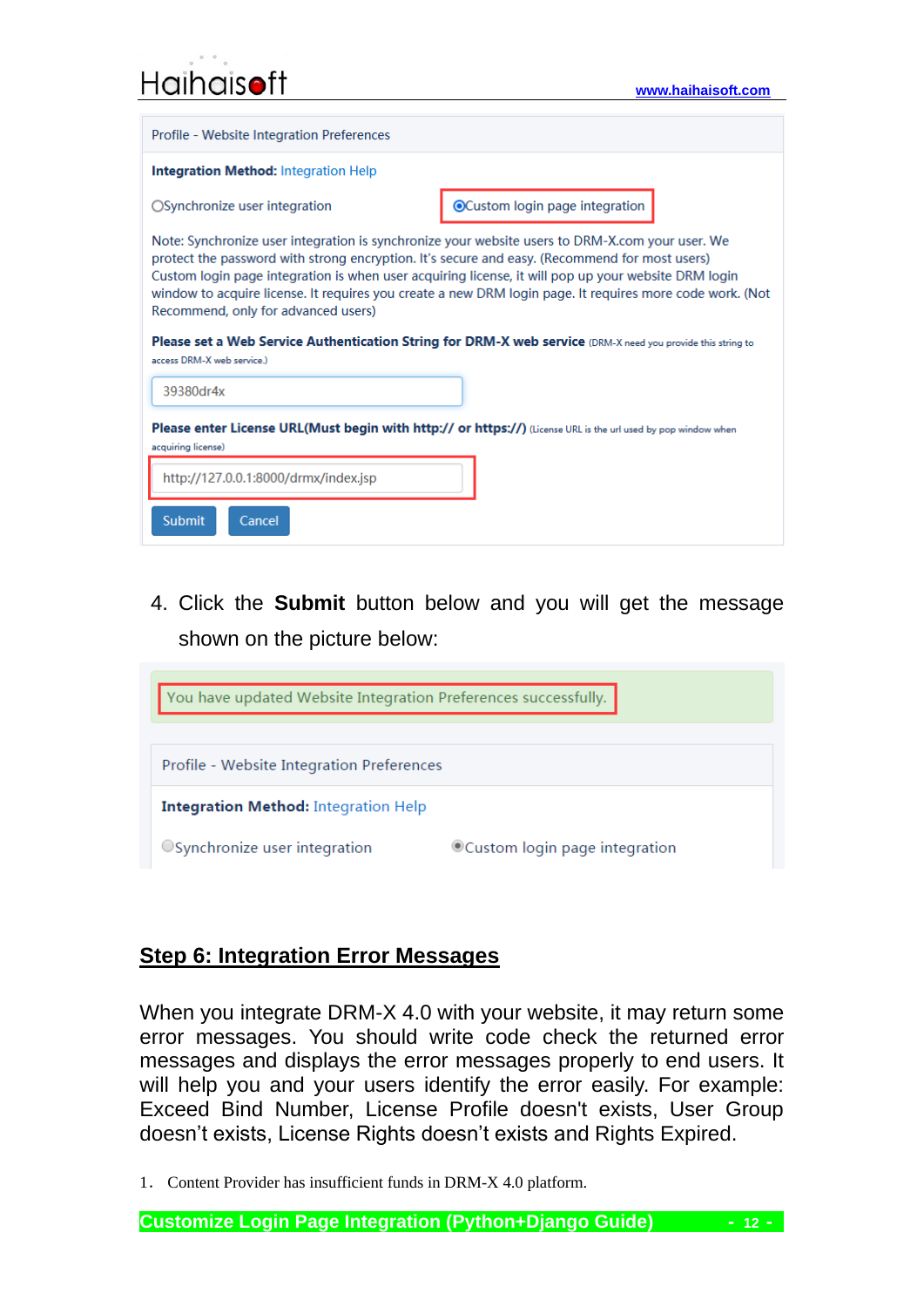|  | Haihaisoft |  |
|--|------------|--|
|  |            |  |

| Profile - Website Integration Preferences                                                                                                                                                                                                                                                                                                                                                                                                                                                                                                                                                               |                                 |  |  |
|---------------------------------------------------------------------------------------------------------------------------------------------------------------------------------------------------------------------------------------------------------------------------------------------------------------------------------------------------------------------------------------------------------------------------------------------------------------------------------------------------------------------------------------------------------------------------------------------------------|---------------------------------|--|--|
| <b>Integration Method:</b> Integration Help                                                                                                                                                                                                                                                                                                                                                                                                                                                                                                                                                             |                                 |  |  |
| ○ Synchronize user integration                                                                                                                                                                                                                                                                                                                                                                                                                                                                                                                                                                          | ● Custom login page integration |  |  |
| Note: Synchronize user integration is synchronize your website users to DRM-X.com your user. We<br>protect the password with strong encryption. It's secure and easy. (Recommend for most users)<br>Custom login page integration is when user acquiring license, it will pop up your website DRM login<br>window to acquire license. It requires you create a new DRM login page. It requires more code work. (Not<br>Recommend, only for advanced users)<br>Please set a Web Service Authentication String for DRM-X web service (DRM-X need you provide this string to<br>access DRM-X web service.) |                                 |  |  |
| 39380dr4x                                                                                                                                                                                                                                                                                                                                                                                                                                                                                                                                                                                               |                                 |  |  |
| Please enter License URL(Must begin with http:// or https://) (License URL is the url used by pop window when<br>acquiring license)                                                                                                                                                                                                                                                                                                                                                                                                                                                                     |                                 |  |  |
| http://127.0.0.1:8000/drmx/index.jsp                                                                                                                                                                                                                                                                                                                                                                                                                                                                                                                                                                    |                                 |  |  |
| <b>Submit</b><br>Cancel                                                                                                                                                                                                                                                                                                                                                                                                                                                                                                                                                                                 |                                 |  |  |

4. Click the **Submit** button below and you will get the message shown on the picture below:



#### <span id="page-11-0"></span>**Step 6: Integration Error Messages**

When you integrate DRM-X 4.0 with your website, it may return some error messages. You should write code check the returned error messages and displays the error messages properly to end users. It will help you and your users identify the error easily. For example: Exceed Bind Number, License Profile doesn't exists, User Group doesn't exists, License Rights doesn't exists and Rights Expired.

1. Content Provider has insufficient funds in DRM-X 4.0 platform.

**Customize Login Page Integration (Python+Django Guide) - 12 -**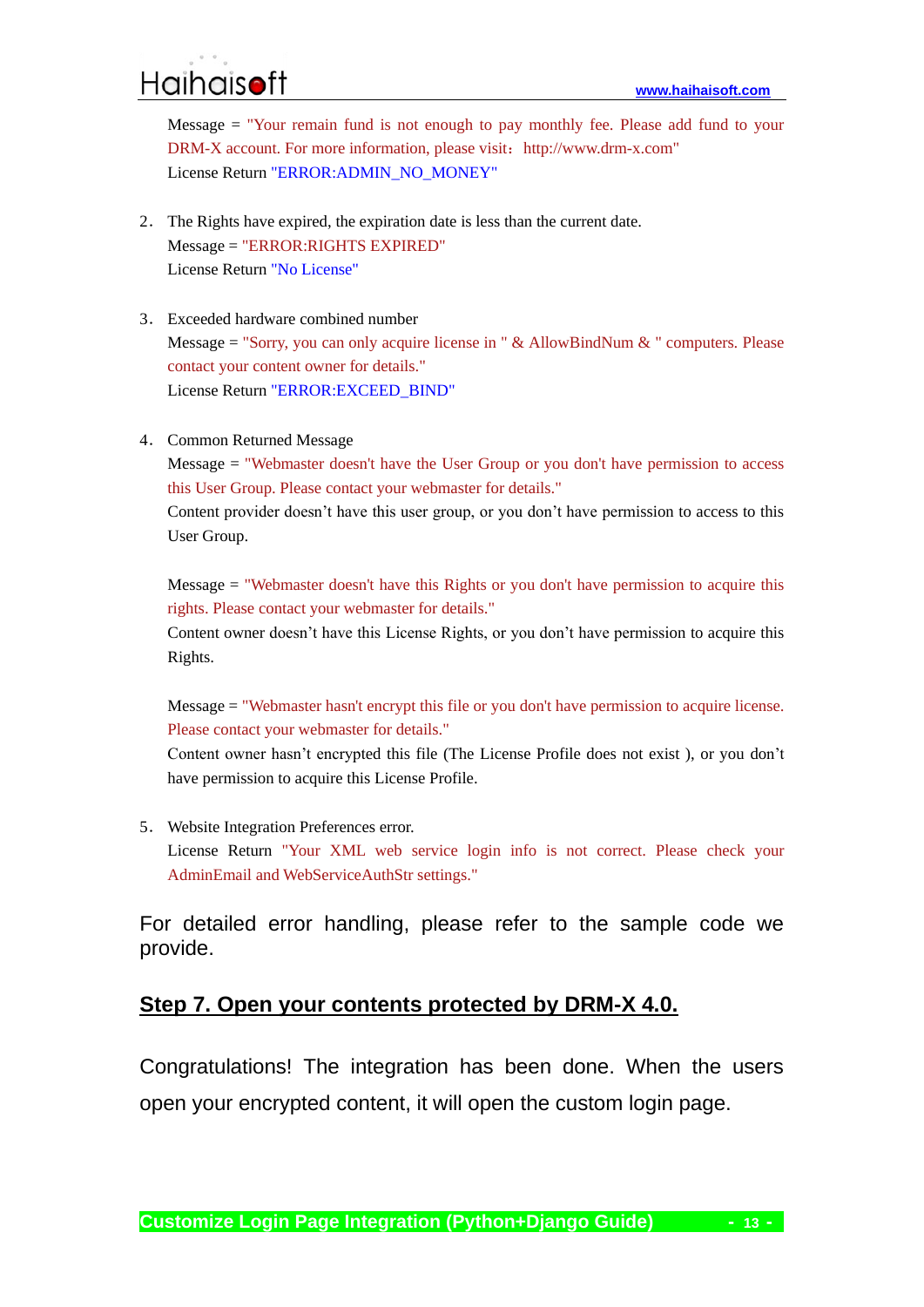Message = "Your remain fund is not enough to pay monthly fee. Please add fund to your DRM-X account. For more information, please visit: http://www.drm-x.com" License Return "ERROR:ADMIN\_NO\_MONEY"

- 2. The Rights have expired, the expiration date is less than the current date. Message = "ERROR:RIGHTS EXPIRED" License Return "No License"
- 3. Exceeded hardware combined number Message = "Sorry, you can only acquire license in "  $&$  AllowBindNum  $&$  " computers. Please contact your content owner for details." License Return "ERROR:EXCEED\_BIND"
- 4. Common Returned Message

Message = "Webmaster doesn't have the User Group or you don't have permission to access this User Group. Please contact your webmaster for details."

Content provider doesn't have this user group, or you don't have permission to access to this User Group.

Message = "Webmaster doesn't have this Rights or you don't have permission to acquire this rights. Please contact your webmaster for details."

Content owner doesn't have this License Rights, or you don't have permission to acquire this Rights.

Message = "Webmaster hasn't encrypt this file or you don't have permission to acquire license. Please contact your webmaster for details."

Content owner hasn't encrypted this file (The License Profile does not exist ), or you don't have permission to acquire this License Profile.

5. Website Integration Preferences error. License Return "Your XML web service login info is not correct. Please check your AdminEmail and WebServiceAuthStr settings."

For detailed error handling, please refer to the sample code we provide.

#### <span id="page-12-0"></span>**Step 7. Open your contents protected by DRM-X 4.0.**

Congratulations! The integration has been done. When the users open your encrypted content, it will open the custom login page.